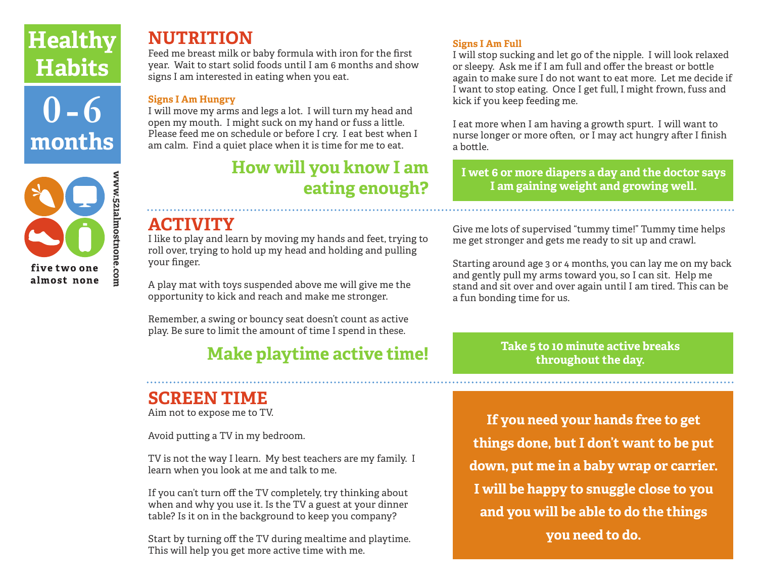## **Healthy Habits**

**0 - 6 months**



## **NUTRITION**

Feed me breast milk or baby formula with iron for the first year. Wait to start solid foods until I am 6 months and show signs I am interested in eating when you eat.

#### **Signs I Am Hungry**

I will move my arms and legs a lot. I will turn my head and open my mouth. I might suck on my hand or fuss a little. Please feed me on schedule or before I cry. I eat best when I am calm. Find a quiet place when it is time for me to eat.

## **How will you know I am eating enough?**

### **ACTIVITY**

I like to play and learn by moving my hands and feet, trying to roll over, trying to hold up my head and holding and pulling your finger.

A play mat with toys suspended above me will give me the opportunity to kick and reach and make me stronger.

Remember, a swing or bouncy seat doesn't count as active play. Be sure to limit the amount of time I spend in these.

## **Make playtime active time!**

## **SCREEN TIME**

Aim not to expose me to TV.

Avoid putting a TV in my bedroom.

TV is not the way I learn. My best teachers are my family. I learn when you look at me and talk to me.

If you can't turn off the TV completely, try thinking about when and why you use it. Is the TV a guest at your dinner table? Is it on in the background to keep you company?

Start by turning off the TV during mealtime and playtime. This will help you get more active time with me.

### **Signs I Am Full**

I will stop sucking and let go of the nipple. I will look relaxed or sleepy. Ask me if I am full and offer the breast or bottle again to make sure I do not want to eat more. Let me decide if I want to stop eating. Once I get full, I might frown, fuss and kick if you keep feeding me.

I eat more when I am having a growth spurt. I will want to nurse longer or more often, or I may act hungry after I finish a bottle.

**I wet 6 or more diapers a day and the doctor says I am gaining weight and growing well.**

Give me lots of supervised "tummy time!" Tummy time helps me get stronger and gets me ready to sit up and crawl.

Starting around age 3 or 4 months, you can lay me on my back and gently pull my arms toward you, so I can sit. Help me stand and sit over and over again until I am tired. This can be a fun bonding time for us.

> **Take 5 to 10 minute active breaks throughout the day.**

**If you need your hands free to get things done, but I don't want to be put down, put me in a baby wrap or carrier. I will be happy to snuggle close to you and you will be able to do the things you need to do.**